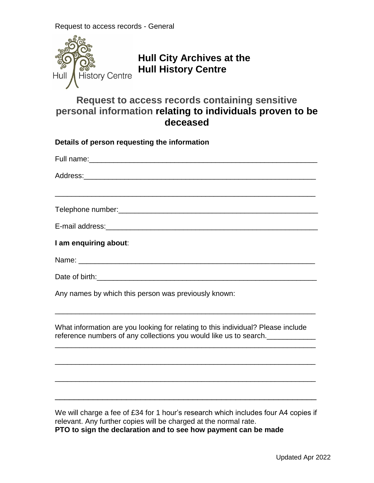

## **Hull City Archives at the Hull History Centre**

## **Request to access records containing sensitive personal information relating to individuals proven to be deceased**

| Details of person requesting the information                                                                                                                                                                               |  |
|----------------------------------------------------------------------------------------------------------------------------------------------------------------------------------------------------------------------------|--|
|                                                                                                                                                                                                                            |  |
|                                                                                                                                                                                                                            |  |
|                                                                                                                                                                                                                            |  |
|                                                                                                                                                                                                                            |  |
| I am enquiring about:                                                                                                                                                                                                      |  |
|                                                                                                                                                                                                                            |  |
|                                                                                                                                                                                                                            |  |
| Any names by which this person was previously known:                                                                                                                                                                       |  |
| What information are you looking for relating to this individual? Please include<br>reference numbers of any collections you would like us to search.                                                                      |  |
|                                                                                                                                                                                                                            |  |
|                                                                                                                                                                                                                            |  |
| We will charge a fee of £34 for 1 hour's research which includes four A4 copies if<br>relevant. Any further copies will be charged at the normal rate.<br>$DTO$ to aign the declaration and to see how normant can be made |  |

**PTO to sign the declaration and to see how payment can be made**